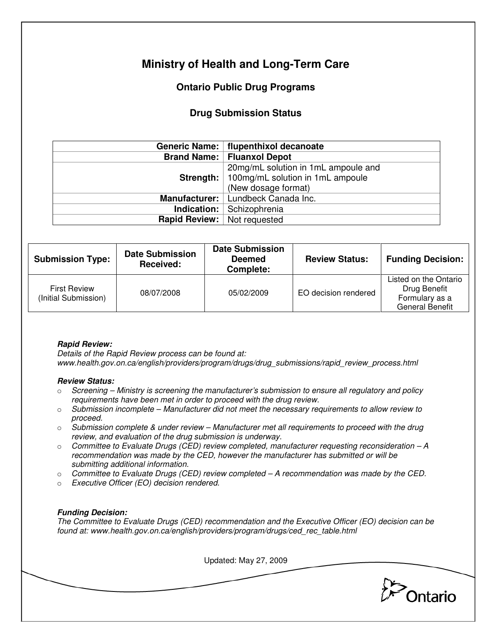# **Ministry of Health and Long-Term Care**

## **Ontario Public Drug Programs**

### **Drug Submission Status**

|                                    | Generic Name:   flupenthixol decanoate |  |
|------------------------------------|----------------------------------------|--|
|                                    | <b>Brand Name:   Fluanxol Depot</b>    |  |
|                                    | 20mg/mL solution in 1mL ampoule and    |  |
| Strength: $ $                      | 100mg/mL solution in 1mL ampoule       |  |
|                                    | (New dosage format)                    |  |
|                                    | Manufacturer:   Lundbeck Canada Inc.   |  |
| Indication: $ $                    | Schizophrenia                          |  |
| <b>Rapid Review:</b> Not requested |                                        |  |

| <b>Submission Type:</b>                     | <b>Date Submission</b><br>Received: | <b>Date Submission</b><br><b>Deemed</b><br>Complete: | <b>Review Status:</b> | <b>Funding Decision:</b>                                                          |
|---------------------------------------------|-------------------------------------|------------------------------------------------------|-----------------------|-----------------------------------------------------------------------------------|
| <b>First Review</b><br>(Initial Submission) | 08/07/2008                          | 05/02/2009                                           | EO decision rendered  | Listed on the Ontario<br>Drug Benefit<br>Formulary as a<br><b>General Benefit</b> |

#### **Rapid Review:**

Details of the Rapid Review process can be found at: www.health.gov.on.ca/english/providers/program/drugs/drug\_submissions/rapid\_review\_process.html

#### **Review Status:**

- $\circ$  Screening Ministry is screening the manufacturer's submission to ensure all regulatory and policy requirements have been met in order to proceed with the drug review.
- $\circ$  Submission incomplete Manufacturer did not meet the necessary requirements to allow review to proceed.
- $\circ$  Submission complete & under review Manufacturer met all requirements to proceed with the drug review, and evaluation of the drug submission is underway.
- $\circ$  Committee to Evaluate Drugs (CED) review completed, manufacturer requesting reconsideration A recommendation was made by the CED, however the manufacturer has submitted or will be submitting additional information.
- $\circ$  Committee to Evaluate Drugs (CED) review completed  $-A$  recommendation was made by the CED.
- o Executive Officer (EO) decision rendered.

#### **Funding Decision:**

The Committee to Evaluate Drugs (CED) recommendation and the Executive Officer (EO) decision can be found at: www.health.gov.on.ca/english/providers/program/drugs/ced\_rec\_table.html

Updated: May 27, 2009